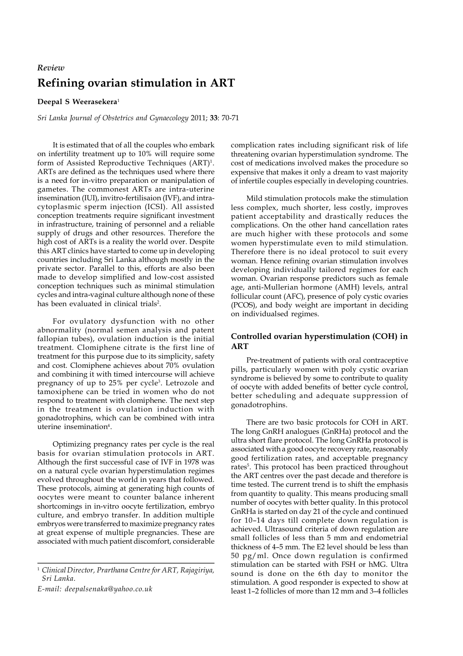## **Refining ovarian stimulation in ART** *Review*

## **Deepal S Weerasekera**<sup>1</sup>

*Sri Lanka Journal of Obstetrics and Gynaecology* 2011; **33**: 70-71

It is estimated that of all the couples who embark on infertility treatment up to 10% will require some form of Assisted Reproductive Techniques (ART)<sup>1</sup>. ARTs are defined as the techniques used where there is a need for in-vitro preparation or manipulation of gametes. The commonest ARTs are intra-uterine insemination (IUI), invitro-fertilisaion (IVF), and intracytoplasmic sperm injection (ICSI). All assisted conception treatments require significant investment in infrastructure, training of personnel and a reliable supply of drugs and other resources. Therefore the high cost of ARTs is a reality the world over. Despite this ART clinics have started to come up in developing countries including Sri Lanka although mostly in the private sector. Parallel to this, efforts are also been made to develop simplified and low-cost assisted conception techniques such as minimal stimulation cycles and intra-vaginal culture although none of these has been evaluated in clinical trials<sup>2</sup>.

For ovulatory dysfunction with no other abnormality (normal semen analysis and patent fallopian tubes), ovulation induction is the initial treatment. Clomiphene citrate is the first line of treatment for this purpose due to its simplicity, safety and cost. Clomiphene achieves about 70% ovulation and combining it with timed intercourse will achieve pregnancy of up to 25% per cycle<sup>3</sup>. Letrozole and tamoxiphene can be tried in women who do not respond to treatment with clomiphene. The next step in the treatment is ovulation induction with gonadotrophins, which can be combined with intra uterine insemination<sup>4</sup>.

Optimizing pregnancy rates per cycle is the real basis for ovarian stimulation protocols in ART. Although the first successful case of IVF in 1978 was on a natural cycle ovarian hyperstimulation regimes evolved throughout the world in years that followed. These protocols, aiming at generating high counts of oocytes were meant to counter balance inherent shortcomings in in-vitro oocyte fertilization, embryo culture, and embryo transfer. In addition multiple embryos were transferred to maximize pregnancy rates at great expense of multiple pregnancies. These are associated with much patient discomfort, considerable complication rates including significant risk of life threatening ovarian hyperstimulation syndrome. The cost of medications involved makes the procedure so expensive that makes it only a dream to vast majority of infertile couples especially in developing countries.

Mild stimulation protocols make the stimulation less complex, much shorter, less costly, improves patient acceptability and drastically reduces the complications. On the other hand cancellation rates are much higher with these protocols and some women hyperstimulate even to mild stimulation. Therefore there is no ideal protocol to suit every woman. Hence refining ovarian stimulation involves developing individually tailored regimes for each woman. Ovarian response predictors such as female age, anti-Mullerian hormone (AMH) levels, antral follicular count (AFC), presence of poly cystic ovaries (PCOS), and body weight are important in deciding on individualsed regimes.

## **Controlled ovarian hyperstimulation (COH) in ART**

Pre-treatment of patients with oral contraceptive pills, particularly women with poly cystic ovarian syndrome is believed by some to contribute to quality of oocyte with added benefits of better cycle control, better scheduling and adequate suppression of gonadotrophins.

There are two basic protocols for COH in ART. The long GnRH analogues (GnRHa) protocol and the ultra short flare protocol. The long GnRHa protocol is associated with a good oocyte recovery rate, reasonably good fertilization rates, and acceptable pregnancy rates<sup>5</sup>. This protocol has been practiced throughout the ART centres over the past decade and therefore is time tested. The current trend is to shift the emphasis from quantity to quality. This means producing small number of oocytes with better quality. In this protocol GnRHa is started on day 21 of the cycle and continued for 10–14 days till complete down regulation is achieved. Ultrasound criteria of down regulation are small follicles of less than 5 mm and endometrial thickness of 4–5 mm. The E2 level should be less than 50 pg/ml. Once down regulation is confirmed stimulation can be started with FSH or hMG. Ultra sound is done on the 6th day to monitor the stimulation. A good responder is expected to show at least 1–2 follicles of more than 12 mm and 3–4 follicles

<sup>1</sup> *Clinical Director, Prarthana Centre for ART, Rajagiriya, Sri Lanka.*

*E-mail: deepalsenaka@yahoo.co.uk*